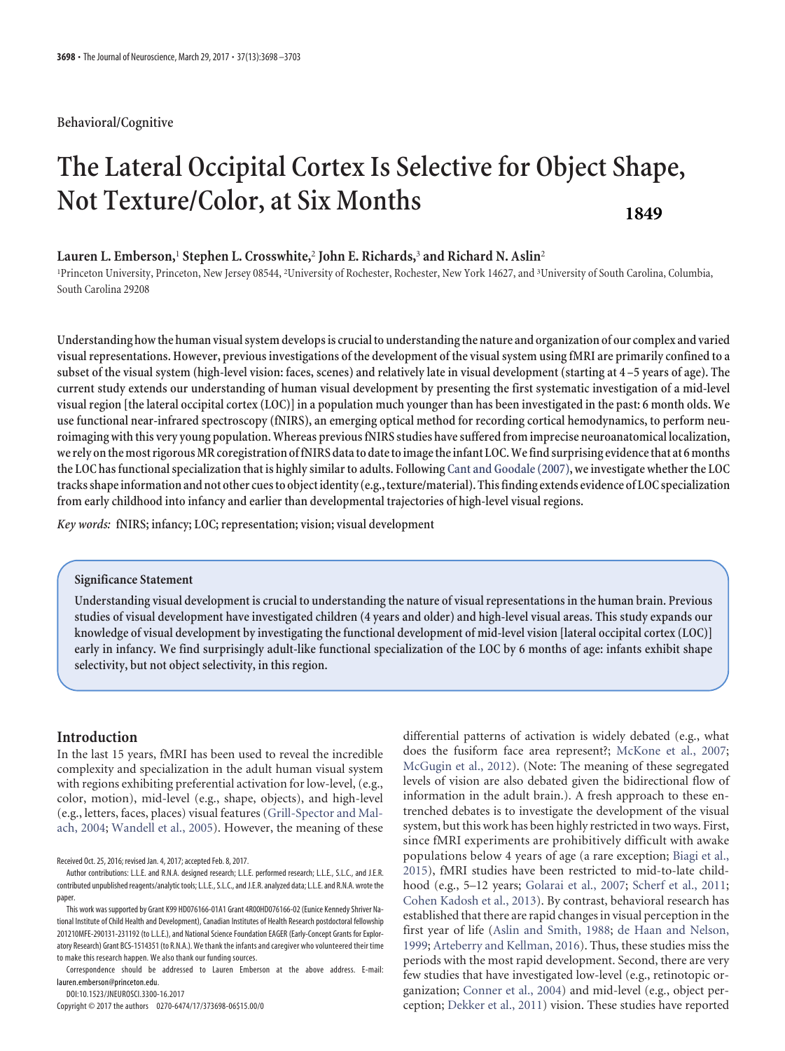# **Behavioral/Cognitive**

# **The Lateral Occipital Cortex Is Selective for Object Shape, Not Texture/Color, at Six Months 1849**

# **Lauren L. Emberson,**<sup>1</sup> **Stephen L. Crosswhite,**<sup>2</sup> **John E. Richards,**<sup>3</sup> **and Richard N. Aslin**<sup>2</sup>

<sup>1</sup>Princeton University, Princeton, New Jersey 08544, <sup>2</sup>University of Rochester, Rochester, New York 14627, and <sup>3</sup>University of South Carolina, Columbia, South Carolina 29208

**Understanding howthe human visual system develops is crucialto understandingthe nature and organization of our complex and varied visual representations. However, previous investigations of the development of the visual system using fMRI are primarily confined to a subset of the visual system (high-level vision: faces, scenes) and relatively late in visual development (starting at 4 –5 years of age). The current study extends our understanding of human visual development by presenting the first systematic investigation of a mid-level visual region [the lateral occipital cortex (LOC)] in a population much younger than has been investigated in the past: 6 month olds. We use functional near-infrared spectroscopy (fNIRS), an emerging optical method for recording cortical hemodynamics, to perform neuroimaging withthis very young population. Whereas previous fNIRS studies have suffered from imprecise neuroanatomical localization, we rely onthemost rigorousMR coregistration offNIRS datato datetoimagetheinfant LOC.Wefind surprising evidencethat at 6months the LOC has functional specialization that is highly similar to adults. Following [Cant and Goodale \(2007\),](#page-5-0) we investigate whether the LOC tracksshapeinformation and not other cuesto objectidentity (e.g.,texture/material). Thisfinding extends evidence of LOC specialization from early childhood into infancy and earlier than developmental trajectories of high-level visual regions.**

*Key words:* **fNIRS; infancy; LOC; representation; vision; visual development**

# **Significance Statement**

**Understanding visual development is crucial to understanding the nature of visual representations in the human brain. Previous studies of visual development have investigated children (4 years and older) and high-level visual areas. This study expands our knowledge of visual development by investigating the functional development of mid-level vision [lateral occipital cortex (LOC)] early in infancy. We find surprisingly adult-like functional specialization of the LOC by 6 months of age: infants exhibit shape selectivity, but not object selectivity, in this region.**

# **Introduction**

In the last 15 years, fMRI has been used to reveal the incredible complexity and specialization in the adult human visual system with regions exhibiting preferential activation for low-level, (e.g., color, motion), mid-level (e.g., shape, objects), and high-level (e.g., letters, faces, places) visual features [\(Grill-Spector and Mal](#page-5-1)ach, [2004;](#page-5-1) [Wandell et al., 2005\)](#page-5-2). However, the meaning of these

Received Oct. 25, 2016; revised Jan. 4, 2017; accepted Feb. 8, 2017.

DOI:10.1523/JNEUROSCI.3300-16.2017

Copyright © 2017 the authors 0270-6474/17/373698-06\$15.00/0

differential patterns of activation is widely debated (e.g., what does the fusiform face area represent?; [McKone et al., 2007;](#page-5-3) [McGugin et al., 2012\)](#page-5-4). (Note: The meaning of these segregated levels of vision are also debated given the bidirectional flow of information in the adult brain.). A fresh approach to these entrenched debates is to investigate the development of the visual system, but this work has been highly restricted in two ways. First, since fMRI experiments are prohibitively difficult with awake populations below 4 years of age (a rare exception; [Biagi et al.,](#page-5-5) [2015\)](#page-5-5), fMRI studies have been restricted to mid-to-late childhood (e.g., 5–12 years; [Golarai et al., 2007;](#page-5-6) [Scherf et al., 2011;](#page-5-7) [Cohen Kadosh et al., 2013\)](#page-5-8). By contrast, behavioral research has established that there are rapid changes in visual perception in the first year of life [\(Aslin and Smith, 1988;](#page-5-9) [de Haan and Nelson,](#page-5-10) [1999;](#page-5-10) [Arteberry and Kellman, 2016\)](#page-5-11). Thus, these studies miss the periods with the most rapid development. Second, there are very few studies that have investigated low-level (e.g., retinotopic organization; [Conner et al., 2004\)](#page-5-12) and mid-level (e.g., object perception; [Dekker et al., 2011\)](#page-5-13) vision. These studies have reported

Author contributions: L.L.E. and R.N.A. designed research; L.L.E. performed research; L.L.E., S.L.C., and J.E.R. contributed unpublished reagents/analytic tools; L.L.E., S.L.C., and J.E.R. analyzed data; L.L.E. and R.N.A. wrote the paper.

This work was supported by Grant K99 HD076166-01A1 Grant 4R00HD076166-02 (Eunice Kennedy Shriver National Institute of Child Health and Development), Canadian Institutes of Health Research postdoctoral fellowship 201210MFE-290131-231192 (to L.L.E.), and National Science Foundation EAGER (Early-Concept Grants for Exploratory Research) Grant BCS-1514351 (to R.N.A.). We thank the infants and caregiver who volunteered their time to make this research happen. We also thank our funding sources.

Correspondence should be addressed to Lauren Emberson at the above address. E-mail: lauren.emberson@princeton.edu.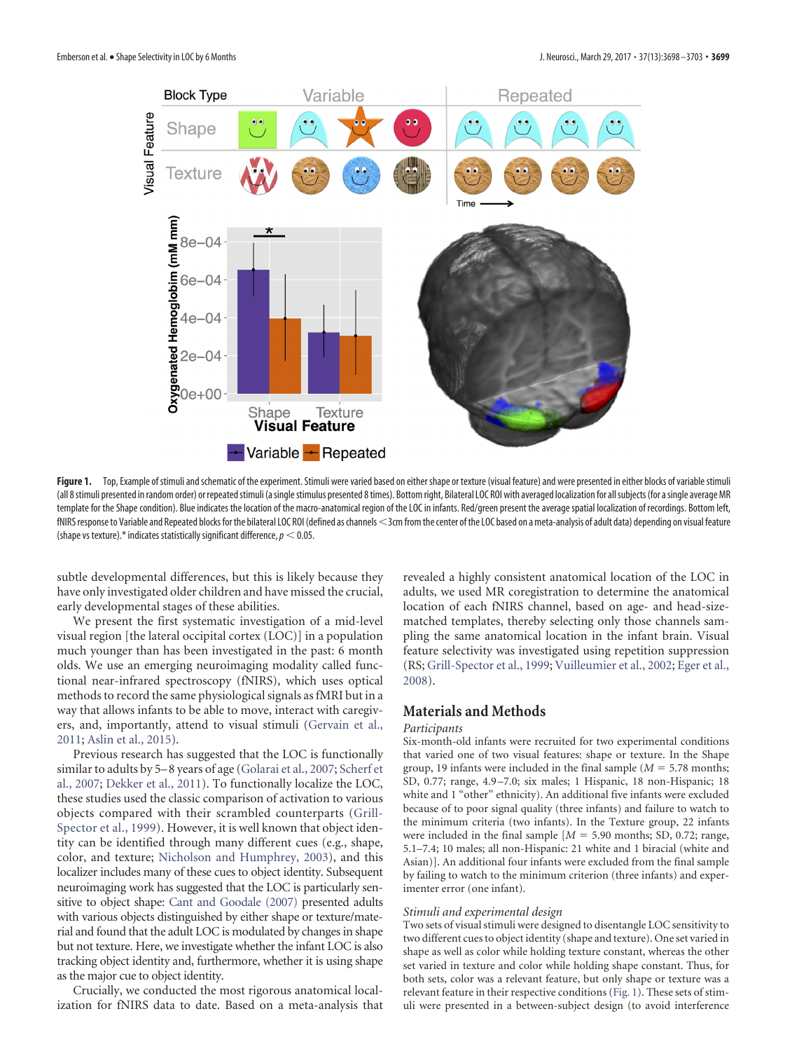

<span id="page-1-0"></span>Figure 1. Top, Example of stimuli and schematic of the experiment. Stimuli were varied based on either shape or texture (visual feature) and were presented in either blocks of variable stimuli (all 8 stimuli presented in random order) or repeated stimuli (a single stimulus presented 8 times). Bottom right, Bilateral LOC ROI with averaged localization for all subjects (for a single average MR template for the Shape condition). Blue indicates the location of the macro-anatomical region of the LOC in infants. Red/green present the average spatial localization of recordings. Bottom left, fNIRS response to Variable and Repeated blocks for the bilateral LOC ROI (defined as channels <3cm from the center of the LOC based on a meta-analysis of adult data) depending on visual feature (shape vs texture).\* indicates statistically significant difference,  $p < 0.05$ .

subtle developmental differences, but this is likely because they have only investigated older children and have missed the crucial, early developmental stages of these abilities.

We present the first systematic investigation of a mid-level visual region [the lateral occipital cortex (LOC)] in a population much younger than has been investigated in the past: 6 month olds. We use an emerging neuroimaging modality called functional near-infrared spectroscopy (fNIRS), which uses optical methods to record the same physiological signals as fMRI but in a way that allows infants to be able to move, interact with caregivers, and, importantly, attend to visual stimuli [\(Gervain et al.,](#page-5-14) [2011;](#page-5-14) [Aslin et al., 2015\)](#page-5-15).

Previous research has suggested that the LOC is functionally similar to adults by 5–8 years of age [\(Golarai et al., 2007;](#page-5-6) [Scherf et](#page-5-16) [al., 2007;](#page-5-16) [Dekker et al., 2011\)](#page-5-13). To functionally localize the LOC, these studies used the classic comparison of activation to various objects compared with their scrambled counterparts [\(Grill-](#page-5-17)[Spector et al., 1999\)](#page-5-17). However, it is well known that object identity can be identified through many different cues (e.g., shape, color, and texture; [Nicholson and Humphrey, 2003\)](#page-5-18), and this localizer includes many of these cues to object identity. Subsequent neuroimaging work has suggested that the LOC is particularly sensitive to object shape: [Cant and Goodale \(2007\)](#page-5-0) presented adults with various objects distinguished by either shape or texture/material and found that the adult LOC is modulated by changes in shape but not texture. Here, we investigate whether the infant LOC is also tracking object identity and, furthermore, whether it is using shape as the major cue to object identity.

Crucially, we conducted the most rigorous anatomical localization for fNIRS data to date. Based on a meta-analysis that revealed a highly consistent anatomical location of the LOC in adults, we used MR coregistration to determine the anatomical location of each fNIRS channel, based on age- and head-sizematched templates, thereby selecting only those channels sampling the same anatomical location in the infant brain. Visual feature selectivity was investigated using repetition suppression (RS; [Grill-Spector et al., 1999;](#page-5-17) [Vuilleumier et al., 2002;](#page-5-19) [Eger et al.,](#page-5-20) [2008\)](#page-5-20).

# **Materials and Methods**

#### *Participants*

Six-month-old infants were recruited for two experimental conditions that varied one of two visual features: shape or texture. In the Shape group, 19 infants were included in the final sample  $(M = 5.78$  months; SD, 0.77; range, 4.9 –7.0; six males; 1 Hispanic, 18 non-Hispanic; 18 white and 1 "other" ethnicity). An additional five infants were excluded because of to poor signal quality (three infants) and failure to watch to the minimum criteria (two infants). In the Texture group, 22 infants were included in the final sample  $[M = 5.90 \text{ months}; SD, 0.72; \text{range},$ 5.1–7.4; 10 males; all non-Hispanic: 21 white and 1 biracial (white and Asian)]. An additional four infants were excluded from the final sample by failing to watch to the minimum criterion (three infants) and experimenter error (one infant).

#### *Stimuli and experimental design*

Two sets of visual stimuli were designed to disentangle LOC sensitivity to two different cues to object identity (shape and texture). One set varied in shape as well as color while holding texture constant, whereas the other set varied in texture and color while holding shape constant. Thus, for both sets, color was a relevant feature, but only shape or texture was a relevant feature in their respective conditions [\(Fig. 1\)](#page-1-0). These sets of stimuli were presented in a between-subject design (to avoid interference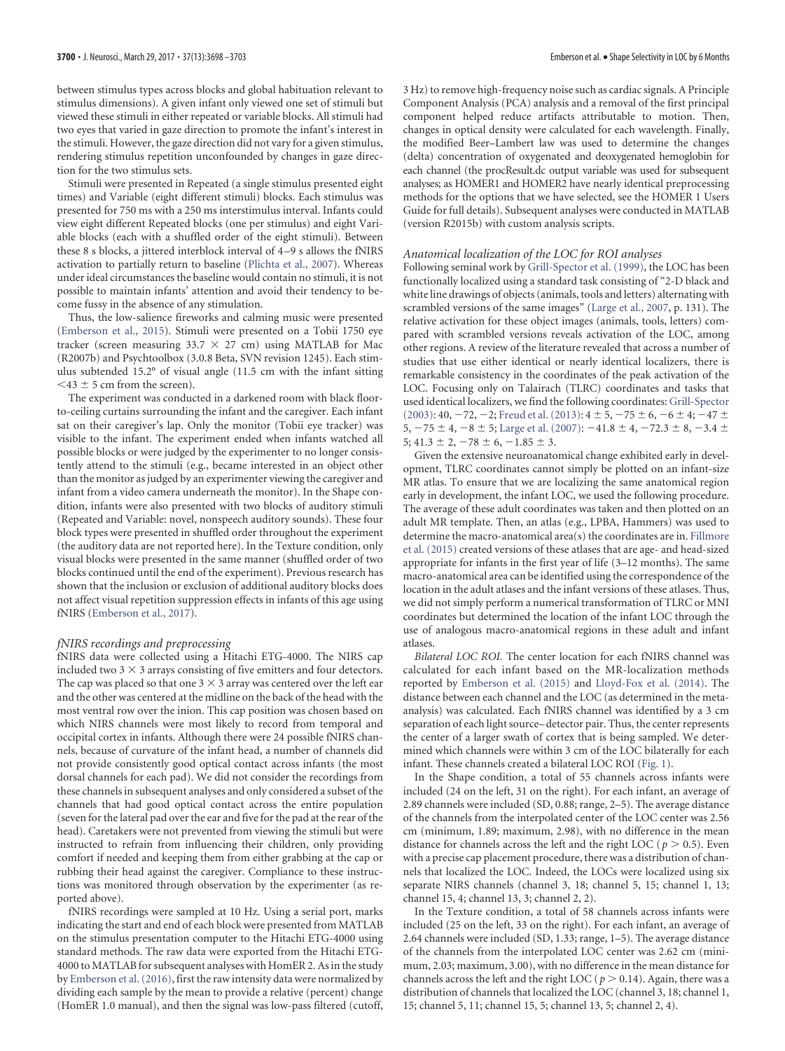between stimulus types across blocks and global habituation relevant to stimulus dimensions). A given infant only viewed one set of stimuli but viewed these stimuli in either repeated or variable blocks. All stimuli had two eyes that varied in gaze direction to promote the infant's interest in the stimuli. However, the gaze direction did not vary for a given stimulus, rendering stimulus repetition unconfounded by changes in gaze direction for the two stimulus sets.

Stimuli were presented in Repeated (a single stimulus presented eight times) and Variable (eight different stimuli) blocks. Each stimulus was presented for 750 ms with a 250 ms interstimulus interval. Infants could view eight different Repeated blocks (one per stimulus) and eight Variable blocks (each with a shuffled order of the eight stimuli). Between these 8 s blocks, a jittered interblock interval of 4 –9 s allows the fNIRS activation to partially return to baseline [\(Plichta et al., 2007\)](#page-5-21). Whereas under ideal circumstances the baseline would contain no stimuli, it is not possible to maintain infants' attention and avoid their tendency to become fussy in the absence of any stimulation.

Thus, the low-salience fireworks and calming music were presented [\(Emberson et al., 2015\)](#page-5-22). Stimuli were presented on a Tobii 1750 eye tracker (screen measuring  $33.7 \times 27$  cm) using MATLAB for Mac (R2007b) and Psychtoolbox (3.0.8 Beta, SVN revision 1245). Each stimulus subtended 15.2° of visual angle (11.5 cm with the infant sitting  $<$ 43  $\pm$  5 cm from the screen).

The experiment was conducted in a darkened room with black floorto-ceiling curtains surrounding the infant and the caregiver. Each infant sat on their caregiver's lap. Only the monitor (Tobii eye tracker) was visible to the infant. The experiment ended when infants watched all possible blocks or were judged by the experimenter to no longer consistently attend to the stimuli (e.g., became interested in an object other than the monitor as judged by an experimenter viewing the caregiver and infant from a video camera underneath the monitor). In the Shape condition, infants were also presented with two blocks of auditory stimuli (Repeated and Variable: novel, nonspeech auditory sounds). These four block types were presented in shuffled order throughout the experiment (the auditory data are not reported here). In the Texture condition, only visual blocks were presented in the same manner (shuffled order of two blocks continued until the end of the experiment). Previous research has shown that the inclusion or exclusion of additional auditory blocks does not affect visual repetition suppression effects in infants of this age using fNIRS [\(Emberson et al., 2017\)](#page-5-23).

#### *fNIRS recordings and preprocessing*

fNIRS data were collected using a Hitachi ETG-4000. The NIRS cap included two 3  $\times$  3 arrays consisting of five emitters and four detectors. The cap was placed so that one  $3 \times 3$  array was centered over the left ear and the other was centered at the midline on the back of the head with the most ventral row over the inion. This cap position was chosen based on which NIRS channels were most likely to record from temporal and occipital cortex in infants. Although there were 24 possible fNIRS channels, because of curvature of the infant head, a number of channels did not provide consistently good optical contact across infants (the most dorsal channels for each pad). We did not consider the recordings from these channels in subsequent analyses and only considered a subset of the channels that had good optical contact across the entire population (seven for the lateral pad over the ear and five for the pad at the rear of the head). Caretakers were not prevented from viewing the stimuli but were instructed to refrain from influencing their children, only providing comfort if needed and keeping them from either grabbing at the cap or rubbing their head against the caregiver. Compliance to these instructions was monitored through observation by the experimenter (as reported above).

fNIRS recordings were sampled at 10 Hz. Using a serial port, marks indicating the start and end of each block were presented from MATLAB on the stimulus presentation computer to the Hitachi ETG-4000 using standard methods. The raw data were exported from the Hitachi ETG-4000 to MATLAB for subsequent analyses with HomER 2. As in the study by [Emberson et al. \(2016\),](#page-5-24) first the raw intensity data were normalized by dividing each sample by the mean to provide a relative (percent) change (HomER 1.0 manual), and then the signal was low-pass filtered (cutoff,

3 Hz) to remove high-frequency noise such as cardiac signals. A Principle Component Analysis (PCA) analysis and a removal of the first principal component helped reduce artifacts attributable to motion. Then, changes in optical density were calculated for each wavelength. Finally, the modified Beer–Lambert law was used to determine the changes (delta) concentration of oxygenated and deoxygenated hemoglobin for each channel (the procResult.dc output variable was used for subsequent analyses; as HOMER1 and HOMER2 have nearly identical preprocessing methods for the options that we have selected, see the HOMER 1 Users Guide for full details). Subsequent analyses were conducted in MATLAB (version R2015b) with custom analysis scripts.

### *Anatomical localization of the LOC for ROI analyses*

Following seminal work by [Grill-Spector et al. \(1999\),](#page-5-17) the LOC has been functionally localized using a standard task consisting of "2-D black and white line drawings of objects (animals, tools and letters) alternating with scrambled versions of the same images" [\(Large et al., 2007,](#page-5-25) p. 131). The relative activation for these object images (animals, tools, letters) compared with scrambled versions reveals activation of the LOC, among other regions. A review of the literature revealed that across a number of studies that use either identical or nearly identical localizers, there is remarkable consistency in the coordinates of the peak activation of the LOC. Focusing only on Talairach (TLRC) coordinates and tasks that used identical localizers, we find the following coordinates: [Grill-Spector](#page-5-26)  $(2003): 40, -72, -2;$  $(2003): 40, -72, -2;$  Freud et al.  $(2013): 4 \pm 5, -75 \pm 6, -6 \pm 4; -47 \pm 7$ 5,  $-75 \pm 4$ ,  $-8 \pm 5$ ; [Large et al. \(2007\):](#page-5-25)  $-41.8 \pm 4$ ,  $-72.3 \pm 8$ ,  $-3.4 \pm 1$  $5; 41.3 \pm 2, -78 \pm 6, -1.85 \pm 3.$ 

Given the extensive neuroanatomical change exhibited early in development, TLRC coordinates cannot simply be plotted on an infant-size MR atlas. To ensure that we are localizing the same anatomical region early in development, the infant LOC, we used the following procedure. The average of these adult coordinates was taken and then plotted on an adult MR template. Then, an atlas (e.g., LPBA, Hammers) was used to determine the macro-anatomical area(s) the coordinates are in. [Fillmore](#page-5-28) [et al. \(2015\)](#page-5-28) created versions of these atlases that are age- and head-sized appropriate for infants in the first year of life (3–12 months). The same macro-anatomical area can be identified using the correspondence of the location in the adult atlases and the infant versions of these atlases. Thus, we did not simply perform a numerical transformation of TLRC or MNI coordinates but determined the location of the infant LOC through the use of analogous macro-anatomical regions in these adult and infant atlases.

*Bilateral LOC ROI.* The center location for each fNIRS channel was calculated for each infant based on the MR-localization methods reported by [Emberson et al. \(2015\)](#page-5-22) and [Lloyd-Fox et al. \(2014\).](#page-5-29) The distance between each channel and the LOC (as determined in the metaanalysis) was calculated. Each fNIRS channel was identified by a 3 cm separation of each light source– detector pair. Thus, the center represents the center of a larger swath of cortex that is being sampled. We determined which channels were within 3 cm of the LOC bilaterally for each infant. These channels created a bilateral LOC ROI [\(Fig. 1\)](#page-1-0).

In the Shape condition, a total of 55 channels across infants were included (24 on the left, 31 on the right). For each infant, an average of 2.89 channels were included (SD, 0.88; range, 2–5). The average distance of the channels from the interpolated center of the LOC center was 2.56 cm (minimum, 1.89; maximum, 2.98), with no difference in the mean distance for channels across the left and the right LOC ( $p > 0.5$ ). Even with a precise cap placement procedure, there was a distribution of channels that localized the LOC. Indeed, the LOCs were localized using six separate NIRS channels (channel 3, 18; channel 5, 15; channel 1, 13; channel 15, 4; channel 13, 3; channel 2, 2).

In the Texture condition, a total of 58 channels across infants were included (25 on the left, 33 on the right). For each infant, an average of 2.64 channels were included (SD, 1.33; range, 1–5). The average distance of the channels from the interpolated LOC center was 2.62 cm (minimum, 2.03; maximum, 3.00), with no difference in the mean distance for channels across the left and the right LOC ( $p > 0.14$ ). Again, there was a distribution of channels that localized the LOC (channel 3, 18; channel 1, 15; channel 5, 11; channel 15, 5; channel 13, 5; channel 2, 4).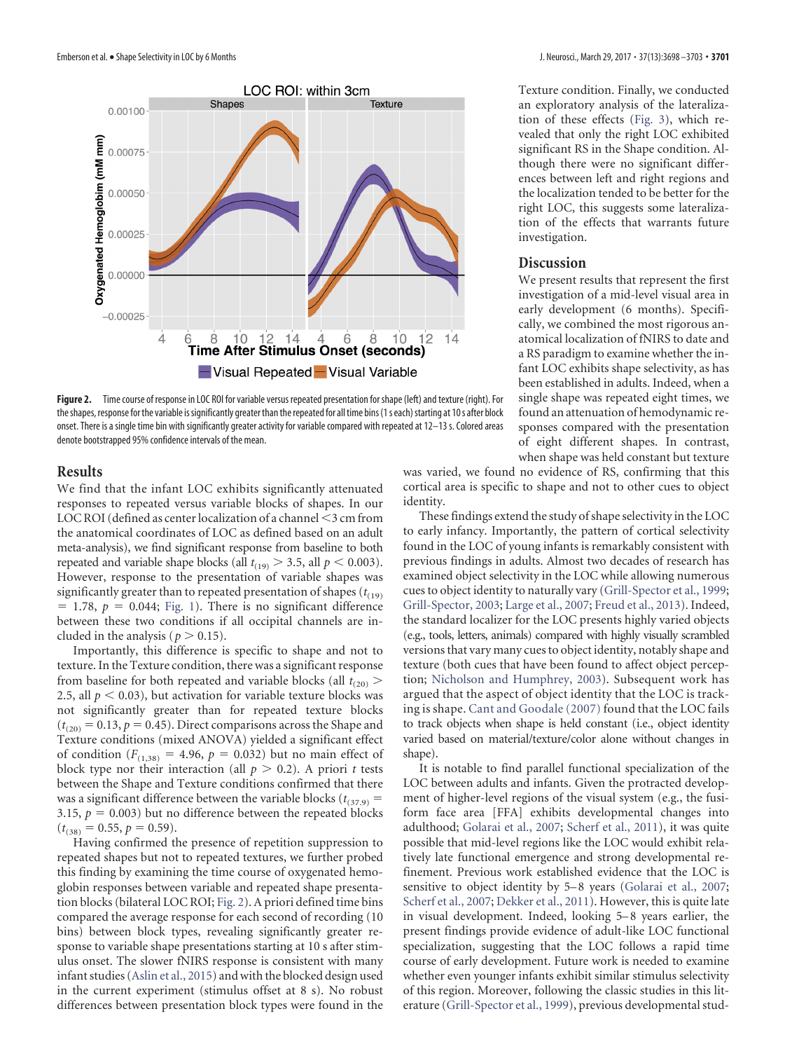

<span id="page-3-0"></span>**Figure 2.** Time course of response in LOC ROI for variable versus repeated presentation for shape (left) and texture (right). For the shapes, response for the variable is significantly greater than the repeated for all time bins (1s each) starting at 10s after block onset. There is a single time bin with significantly greater activity for variable compared with repeated at 12–13 s. Colored areas denote bootstrapped 95% confidence intervals of the mean.

## **Results**

We find that the infant LOC exhibits significantly attenuated responses to repeated versus variable blocks of shapes. In our LOC ROI (defined as center localization of a channel  $\leq$ 3 cm from the anatomical coordinates of LOC as defined based on an adult meta-analysis), we find significant response from baseline to both repeated and variable shape blocks (all  $t_{(19)} > 3.5$ , all  $p < 0.003$ ). However, response to the presentation of variable shapes was significantly greater than to repeated presentation of shapes  $(t_{(19)})$  $=$  1.78,  $p = 0.044$ ; [Fig. 1\)](#page-1-0). There is no significant difference between these two conditions if all occipital channels are included in the analysis ( $p > 0.15$ ).

Importantly, this difference is specific to shape and not to texture. In the Texture condition, there was a significant response from baseline for both repeated and variable blocks (all  $t_{(20)}$ ) 2.5, all  $p < 0.03$ ), but activation for variable texture blocks was not significantly greater than for repeated texture blocks  $(t<sub>(20)</sub> = 0.13, p = 0.45)$ . Direct comparisons across the Shape and Texture conditions (mixed ANOVA) yielded a significant effect of condition  $(F_{(1,38)} = 4.96, p = 0.032)$  but no main effect of block type nor their interaction (all  $p > 0.2$ ). A priori *t* tests between the Shape and Texture conditions confirmed that there was a significant difference between the variable blocks ( $t_{(37.9)}$  = 3.15,  $p = 0.003$ ) but no difference between the repeated blocks  $(t<sub>(38)</sub> = 0.55, p = 0.59).$ 

Having confirmed the presence of repetition suppression to repeated shapes but not to repeated textures, we further probed this finding by examining the time course of oxygenated hemoglobin responses between variable and repeated shape presentation blocks (bilateral LOC ROI; [Fig. 2\)](#page-3-0). A priori defined time bins compared the average response for each second of recording (10 bins) between block types, revealing significantly greater response to variable shape presentations starting at 10 s after stimulus onset. The slower fNIRS response is consistent with many infant studies [\(Aslin et al., 2015\)](#page-5-15) and with the blocked design used in the current experiment (stimulus offset at 8 s). No robust differences between presentation block types were found in the Texture condition. Finally, we conducted an exploratory analysis of the lateralization of these effects [\(Fig. 3\)](#page-4-0), which revealed that only the right LOC exhibited significant RS in the Shape condition. Although there were no significant differences between left and right regions and the localization tended to be better for the right LOC, this suggests some lateralization of the effects that warrants future investigation.

# **Discussion**

We present results that represent the first investigation of a mid-level visual area in early development (6 months). Specifically, we combined the most rigorous anatomical localization of fNIRS to date and a RS paradigm to examine whether the infant LOC exhibits shape selectivity, as has been established in adults. Indeed, when a single shape was repeated eight times, we found an attenuation of hemodynamic responses compared with the presentation of eight different shapes. In contrast, when shape was held constant but texture

was varied, we found no evidence of RS, confirming that this cortical area is specific to shape and not to other cues to object identity.

These findings extend the study of shape selectivity in the LOC to early infancy. Importantly, the pattern of cortical selectivity found in the LOC of young infants is remarkably consistent with previous findings in adults. Almost two decades of research has examined object selectivity in the LOC while allowing numerous cues to object identity to naturally vary [\(Grill-Spector et al., 1999;](#page-5-17) [Grill-Spector, 2003;](#page-5-26) [Large et al., 2007;](#page-5-25) [Freud et al., 2013\)](#page-5-27). Indeed, the standard localizer for the LOC presents highly varied objects (e.g., tools, letters, animals) compared with highly visually scrambled versions that vary many cues to object identity, notably shape and texture (both cues that have been found to affect object perception; [Nicholson and Humphrey, 2003\)](#page-5-18). Subsequent work has argued that the aspect of object identity that the LOC is tracking is shape. [Cant and Goodale \(2007\)](#page-5-0) found that the LOC fails to track objects when shape is held constant (i.e., object identity varied based on material/texture/color alone without changes in shape).

It is notable to find parallel functional specialization of the LOC between adults and infants. Given the protracted development of higher-level regions of the visual system (e.g., the fusiform face area [FFA] exhibits developmental changes into adulthood; [Golarai et al., 2007;](#page-5-6) [Scherf et al., 2011\)](#page-5-7), it was quite possible that mid-level regions like the LOC would exhibit relatively late functional emergence and strong developmental refinement. Previous work established evidence that the LOC is sensitive to object identity by 5–8 years [\(Golarai et al., 2007;](#page-5-6) [Scherf et al., 2007;](#page-5-16) [Dekker et al., 2011\)](#page-5-13). However, this is quite late in visual development. Indeed, looking 5–8 years earlier, the present findings provide evidence of adult-like LOC functional specialization, suggesting that the LOC follows a rapid time course of early development. Future work is needed to examine whether even younger infants exhibit similar stimulus selectivity of this region. Moreover, following the classic studies in this literature [\(Grill-Spector et al., 1999\)](#page-5-17), previous developmental stud-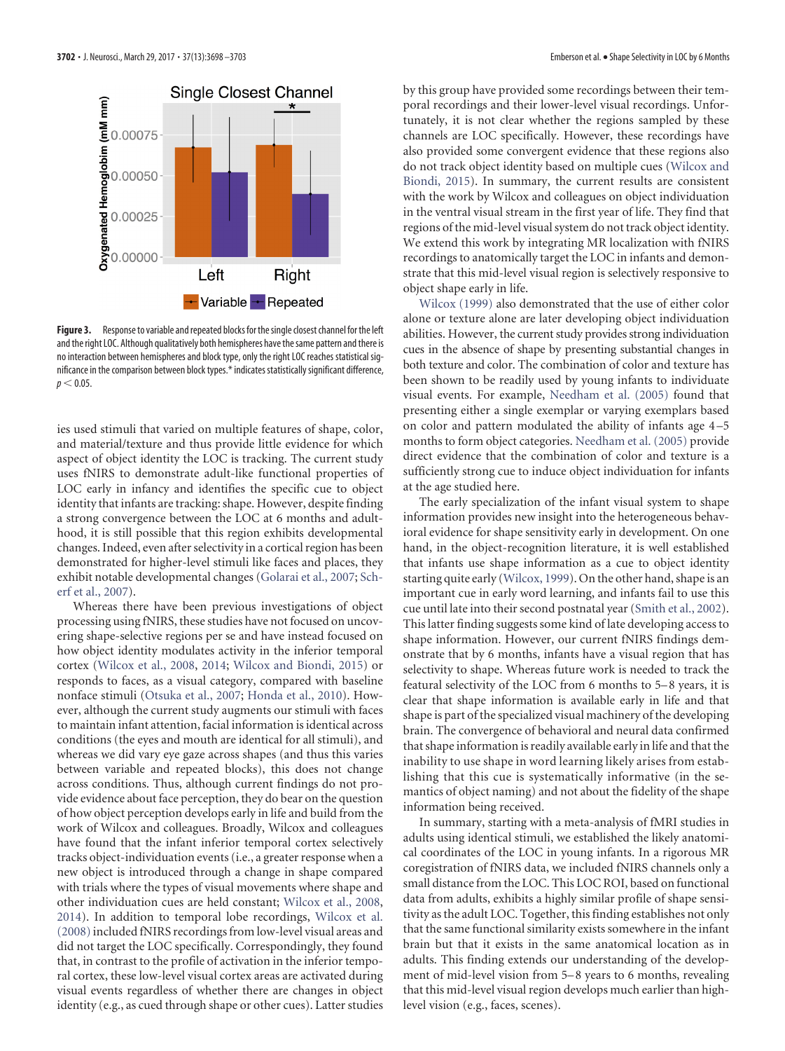

<span id="page-4-0"></span>Figure 3. Response to variable and repeated blocks for the single closest channel for the left and the right LOC. Although qualitatively both hemispheres have the same pattern and there is no interaction between hemispheres and block type, only the right LOC reaches statistical significance in the comparison between block types.\* indicates statistically significant difference,  $p < 0.05$ .

ies used stimuli that varied on multiple features of shape, color, and material/texture and thus provide little evidence for which aspect of object identity the LOC is tracking. The current study uses fNIRS to demonstrate adult-like functional properties of LOC early in infancy and identifies the specific cue to object identity that infants are tracking: shape. However, despite finding a strong convergence between the LOC at 6 months and adulthood, it is still possible that this region exhibits developmental changes. Indeed, even after selectivity in a cortical region has been demonstrated for higher-level stimuli like faces and places, they exhibit notable developmental changes [\(Golarai et al., 2007;](#page-5-6) [Sch](#page-5-16)[erf et al., 2007\)](#page-5-16).

Whereas there have been previous investigations of object processing using fNIRS, these studies have not focused on uncovering shape-selective regions per se and have instead focused on how object identity modulates activity in the inferior temporal cortex [\(Wilcox et al., 2008,](#page-5-30) [2014;](#page-5-31) [Wilcox and Biondi, 2015\)](#page-5-32) or responds to faces, as a visual category, compared with baseline nonface stimuli [\(Otsuka et al., 2007;](#page-5-33) [Honda et al., 2010\)](#page-5-34). However, although the current study augments our stimuli with faces to maintain infant attention, facial information is identical across conditions (the eyes and mouth are identical for all stimuli), and whereas we did vary eye gaze across shapes (and thus this varies between variable and repeated blocks), this does not change across conditions. Thus, although current findings do not provide evidence about face perception, they do bear on the question of how object perception develops early in life and build from the work of Wilcox and colleagues. Broadly, Wilcox and colleagues have found that the infant inferior temporal cortex selectively tracks object-individuation events (i.e., a greater response when a new object is introduced through a change in shape compared with trials where the types of visual movements where shape and other individuation cues are held constant; [Wilcox et al., 2008,](#page-5-30) [2014\)](#page-5-31). In addition to temporal lobe recordings, [Wilcox et al.](#page-5-30) [\(2008\)](#page-5-30) included fNIRS recordings from low-level visual areas and did not target the LOC specifically. Correspondingly, they found that, in contrast to the profile of activation in the inferior temporal cortex, these low-level visual cortex areas are activated during visual events regardless of whether there are changes in object identity (e.g., as cued through shape or other cues). Latter studies

by this group have provided some recordings between their temporal recordings and their lower-level visual recordings. Unfortunately, it is not clear whether the regions sampled by these channels are LOC specifically. However, these recordings have also provided some convergent evidence that these regions also do not track object identity based on multiple cues [\(Wilcox and](#page-5-32) [Biondi, 2015\)](#page-5-32). In summary, the current results are consistent with the work by Wilcox and colleagues on object individuation in the ventral visual stream in the first year of life. They find that regions of the mid-level visual system do not track object identity. We extend this work by integrating MR localization with fNIRS recordings to anatomically target the LOC in infants and demonstrate that this mid-level visual region is selectively responsive to object shape early in life.

[Wilcox \(1999\)](#page-5-35) also demonstrated that the use of either color alone or texture alone are later developing object individuation abilities. However, the current study provides strong individuation cues in the absence of shape by presenting substantial changes in both texture and color. The combination of color and texture has been shown to be readily used by young infants to individuate visual events. For example, [Needham et al. \(2005\)](#page-5-36) found that presenting either a single exemplar or varying exemplars based on color and pattern modulated the ability of infants age 4 –5 months to form object categories. [Needham et al. \(2005\)](#page-5-36) provide direct evidence that the combination of color and texture is a sufficiently strong cue to induce object individuation for infants at the age studied here.

The early specialization of the infant visual system to shape information provides new insight into the heterogeneous behavioral evidence for shape sensitivity early in development. On one hand, in the object-recognition literature, it is well established that infants use shape information as a cue to object identity starting quite early [\(Wilcox, 1999\)](#page-5-35). On the other hand, shape is an important cue in early word learning, and infants fail to use this cue until late into their second postnatal year [\(Smith et al., 2002\)](#page-5-37). This latter finding suggests some kind of late developing access to shape information. However, our current fNIRS findings demonstrate that by 6 months, infants have a visual region that has selectivity to shape. Whereas future work is needed to track the featural selectivity of the LOC from 6 months to 5–8 years, it is clear that shape information is available early in life and that shape is part of the specialized visual machinery of the developing brain. The convergence of behavioral and neural data confirmed that shape information is readily available early in life and that the inability to use shape in word learning likely arises from establishing that this cue is systematically informative (in the semantics of object naming) and not about the fidelity of the shape information being received.

In summary, starting with a meta-analysis of fMRI studies in adults using identical stimuli, we established the likely anatomical coordinates of the LOC in young infants. In a rigorous MR coregistration of fNIRS data, we included fNIRS channels only a small distance from the LOC. This LOC ROI, based on functional data from adults, exhibits a highly similar profile of shape sensitivity as the adult LOC. Together, this finding establishes not only that the same functional similarity exists somewhere in the infant brain but that it exists in the same anatomical location as in adults. This finding extends our understanding of the development of mid-level vision from 5–8 years to 6 months, revealing that this mid-level visual region develops much earlier than highlevel vision (e.g., faces, scenes).